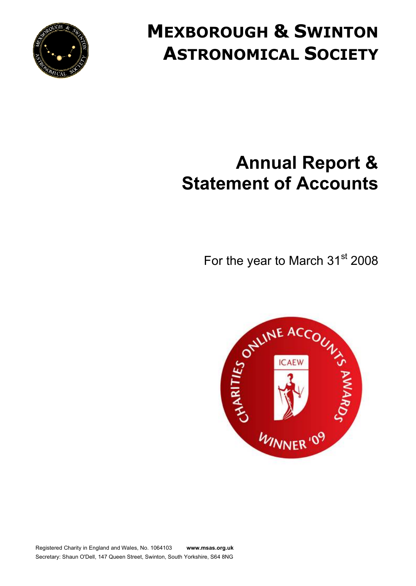

# **MEXBOROUGH & SWINTON ASTRONOMICAL SOCIETY**

# **Annual Report & Statement of Accounts**

For the year to March 31<sup>st</sup> 2008

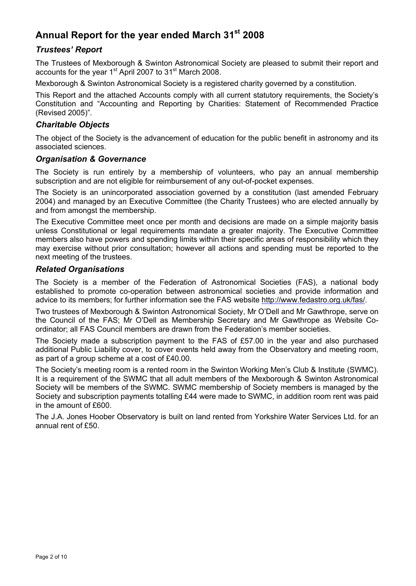### **Annual Report for the year ended March 31st 2008**

#### *Trustees' Report*

The Trustees of Mexborough & Swinton Astronomical Society are pleased to submit their report and accounts for the year 1<sup>st</sup> April 2007 to 31<sup>st</sup> March 2008.

Mexborough & Swinton Astronomical Society is a registered charity governed by a constitution.

This Report and the attached Accounts comply with all current statutory requirements, the Society's Constitution and "Accounting and Reporting by Charities: Statement of Recommended Practice (Revised 2005)".

#### *Charitable Objects*

The object of the Society is the advancement of education for the public benefit in astronomy and its associated sciences.

#### *Organisation & Governance*

The Society is run entirely by a membership of volunteers, who pay an annual membership subscription and are not eligible for reimbursement of any out-of-pocket expenses.

The Society is an unincorporated association governed by a constitution (last amended February 2004) and managed by an Executive Committee (the Charity Trustees) who are elected annually by and from amongst the membership.

The Executive Committee meet once per month and decisions are made on a simple majority basis unless Constitutional or legal requirements mandate a greater majority. The Executive Committee members also have powers and spending limits within their specific areas of responsibility which they may exercise without prior consultation; however all actions and spending must be reported to the next meeting of the trustees.

#### *Related Organisations*

The Society is a member of the Federation of Astronomical Societies (FAS), a national body established to promote co-operation between astronomical societies and provide information and advice to its members; for further information see the FAS website [http://www.fedastro.org.uk/fas/.](http://www.fedastro.org.uk/fas/)

Two trustees of Mexborough & Swinton Astronomical Society, Mr O'Dell and Mr Gawthrope, serve on the Council of the FAS; Mr O'Dell as Membership Secretary and Mr Gawthrope as Website Coordinator; all FAS Council members are drawn from the Federation's member societies.

The Society made a subscription payment to the FAS of É57.00 in the year and also purchased additional Public Liability cover, to cover events held away from the Observatory and meeting room, as part of a group scheme at a cost of É40.00.

The Society's meeting room is a rented room in the Swinton Working Men's Club & Institute (SWMC). It is a requirement of the SWMC that all adult members of the Mexborough & Swinton Astronomical Society will be members of the SWMC. SWMC membership of Society members is managed by the Society and subscription payments totalling É44 were made to SWMC, in addition room rent was paid in the amount of É600.

The J.A. Jones Hoober Observatory is built on land rented from Yorkshire Water Services Ltd. for an annual rent of É50.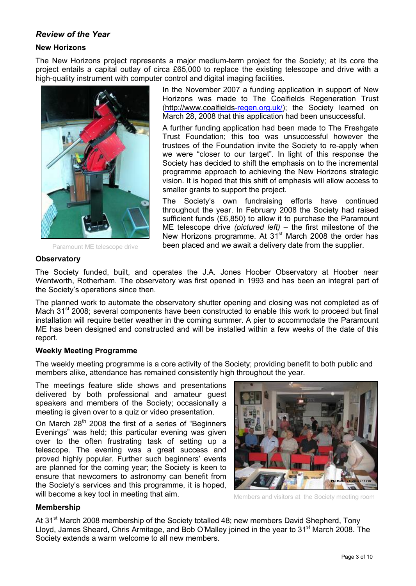#### *Review of the Year*

#### **New Horizons**

The New Horizons project represents a major medium-term project for the Society; at its core the project entails a capital outlay of circa É65,000 to replace the existing telescope and drive with a high-quality instrument with computer control and digital imaging facilities.



In the November 2007 a funding application in support of New Horizons was made to The Coalfields Regeneration Trust [\(http://www.coalfields-](http://www.coalfields)regen.org.uk/); the Society learned on March 28, 2008 that this application had been unsuccessful.

A further funding application had been made to The Freshgate Trust Foundation; this too was unsuccessful however the trustees of the Foundation invite the Society to re-apply when we were "closer to our target". In light of this response the Society has decided to shift the emphasis on to the incremental programme approach to achieving the New Horizons strategic vision. It is hoped that this shift of emphasis will allow access to smaller grants to support the project.

The Society's own fundraising efforts have continued throughout the year. In February 2008 the Society had raised sufficient funds (É6,850) to allow it to purchase the Paramount ME telescope drive *(pictured left)* – the first milestone of the New Horizons programme. At  $31^{st}$  March 2008 the order has Paramount ME telescope drive **been placed and we await a delivery date from the supplier.** 

#### **Observatory**

The Society funded, built, and operates the J.A. Jones Hoober Observatory at Hoober near Wentworth, Rotherham. The observatory was first opened in 1993 and has been an integral part of the Society's operations since then.

The planned work to automate the observatory shutter opening and closing was not completed as of Mach 31<sup>st</sup> 2008; several components have been constructed to enable this work to proceed but final installation will require better weather in the coming summer. A pier to accommodate the Paramount ME has been designed and constructed and will be installed within a few weeks of the date of this report.

#### **Weekly Meeting Programme**

The weekly meeting programme is a core activity of the Society; providing benefit to both public and members alike, attendance has remained consistently high throughout the year.

The meetings feature slide shows and presentations delivered by both professional and amateur guest speakers and members of the Society; occasionally a meeting is given over to a quiz or video presentation.

On March  $28<sup>th</sup>$  2008 the first of a series of "Beginners" Evenings" was held; this particular evening was given over to the often frustrating task of setting up a telescope. The evening was a great success and proved highly popular. Further such beginners' events are planned for the coming year; the Society is keen to ensure that newcomers to astronomy can benefit from the Society's services and this programme, it is hoped, will become a key tool in meeting that aim.



Members and visitors at the Society meeting room

#### **Membership**

At 31<sup>st</sup> March 2008 membership of the Society totalled 48; new members David Shepherd, Tony Lloyd, James Sheard, Chris Armitage, and Bob O'Malley joined in the year to 31<sup>st</sup> March 2008. The Society extends a warm welcome to all new members.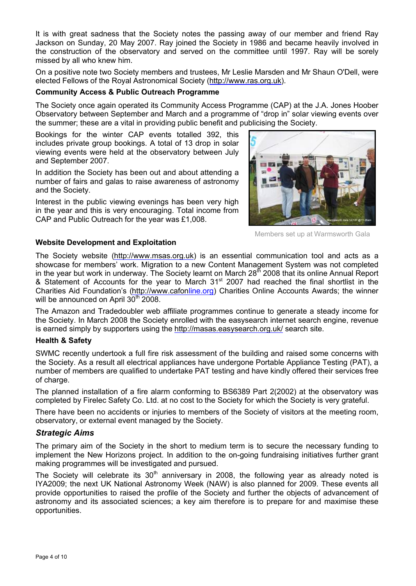It is with great sadness that the Society notes the passing away of our member and friend Ray Jackson on Sunday, 20 May 2007. Ray joined the Society in 1986 and became heavily involved in the construction of the observatory and served on the committee until 1997. Ray will be sorely missed by all who knew him.

On a positive note two Society members and trustees, Mr Leslie Marsden and Mr Shaun O'Dell, were elected Fellows of the Royal Astronomical Society [\(http://www.ras.org.uk\)](http://www.ras.org.uk).

#### **Community Access & Public Outreach Programme**

The Society once again operated its Community Access Programme (CAP) at the J.A. Jones Hoober Observatory between September and March and a programme of "drop in" solar viewing events over the summer; these are a vital in providing public benefit and publicising the Society.

Bookings for the winter CAP events totalled 392, this includes private group bookings. A total of 13 drop in solar viewing events were held at the observatory between July and September 2007.

In addition the Society has been out and about attending a number of fairs and galas to raise awareness of astronomy and the Society.

Interest in the public viewing evenings has been very high in the year and this is very encouraging. Total income from CAP and Public Outreach for the year was É1,008.



Members set up at Warmsworth Gala

#### **Website Development and Exploitation**

The Society website [\(http://www.msas.org.uk\)](http://www.msas.org.uk) is an essential communication tool and acts as a showcase for members' work. Migration to a new Content Management System was not completed in the year but work in underway. The Society learnt on March 28<sup>th</sup> 2008 that its online Annual Report & Statement of Accounts for the year to March 31<sup>st</sup> 2007 had reached the final shortlist in the Charities Aid Foundation's [\(http://www.cafon](http://www.cafon)line.org) Charities Online Accounts Awards; the winner will be announced on April  $30<sup>th</sup>$  2008.

The Amazon and Tradedoubler web affiliate programmes continue to generate a steady income for the Society. In March 2008 the Society enrolled with the easysearch internet search engine, revenue is earned simply by supporters using the<http://masas.easysearch.org.uk/> search site.

#### **Health & Safety**

SWMC recently undertook a full fire risk assessment of the building and raised some concerns with the Society. As a result all electrical appliances have undergone Portable Appliance Testing (PAT), a number of members are qualified to undertake PAT testing and have kindly offered their services free of charge.

The planned installation of a fire alarm conforming to BS6389 Part 2(2002) at the observatory was completed by Firelec Safety Co. Ltd. at no cost to the Society for which the Society is very grateful.

There have been no accidents or injuries to members of the Society of visitors at the meeting room, observatory, or external event managed by the Society.

#### *Strategic Aims*

The primary aim of the Society in the short to medium term is to secure the necessary funding to implement the New Horizons project. In addition to the on-going fundraising initiatives further grant making programmes will be investigated and pursued.

The Society will celebrate its  $30<sup>th</sup>$  anniversary in 2008, the following year as already noted is IYA2009; the next UK National Astronomy Week (NAW) is also planned for 2009. These events all provide opportunities to raised the profile of the Society and further the objects of advancement of astronomy and its associated sciences; a key aim therefore is to prepare for and maximise these opportunities.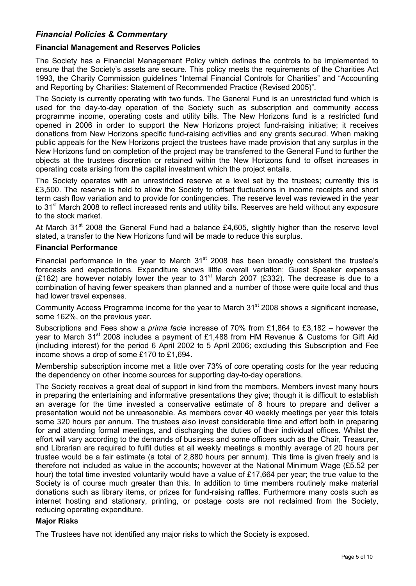#### *Financial Policies & Commentary*

#### **Financial Management and Reserves Policies**

The Society has a Financial Management Policy which defines the controls to be implemented to ensure that the Society's assets are secure. This policy meets the requirements of the Charities Act 1993, the Charity Commission guidelines "Internal Financial Controls for Charities" and "Accounting and Reporting by Charities: Statement of Recommended Practice (Revised 2005)".

The Society is currently operating with two funds. The General Fund is an unrestricted fund which is used for the day-to-day operation of the Society such as subscription and community access programme income, operating costs and utility bills. The New Horizons fund is a restricted fund opened in 2006 in order to support the New Horizons project fund-raising initiative; it receives donations from New Horizons specific fund-raising activities and any grants secured. When making public appeals for the New Horizons project the trustees have made provision that any surplus in the New Horizons fund on completion of the project may be transferred to the General Fund to further the objects at the trustees discretion or retained within the New Horizons fund to offset increases in operating costs arising from the capital investment which the project entails.

The Society operates with an unrestricted reserve at a level set by the trustees; currently this is É3,500. The reserve is held to allow the Society to offset fluctuations in income receipts and short term cash flow variation and to provide for contingencies. The reserve level was reviewed in the year to 31<sup>st</sup> March 2008 to reflect increased rents and utility bills. Reserves are held without any exposure to the stock market.

At March 31<sup>st</sup> 2008 the General Fund had a balance £4,605, slightly higher than the reserve level stated, a transfer to the New Horizons fund will be made to reduce this surplus.

#### **Financial Performance**

Financial performance in the year to March  $31<sup>st</sup>$  2008 has been broadly consistent the trustee's forecasts and expectations. Expenditure shows little overall variation; Guest Speaker expenses (£182) are however notably lower the year to 31<sup>st</sup> March 2007 (£332). The decrease is due to a combination of having fewer speakers than planned and a number of those were quite local and thus had lower travel expenses.

Community Access Programme income for the year to March 31<sup>st</sup> 2008 shows a significant increase, some 162%, on the previous year.

Subscriptions and Fees show a *prima facie* increase of 70% from É1,864 to É3,182 – however the year to March 31<sup>st</sup> 2008 includes a payment of £1,488 from HM Revenue & Customs for Gift Aid (including interest) for the period 6 April 2002 to 5 April 2006; excluding this Subscription and Fee income shows a drop of some £170 to £1,694.

Membership subscription income met a little over 73% of core operating costs for the year reducing the dependency on other income sources for supporting day-to-day operations.

The Society receives a great deal of support in kind from the members. Members invest many hours in preparing the entertaining and informative presentations they give; though it is difficult to establish an average for the time invested a conservative estimate of 8 hours to prepare and deliver a presentation would not be unreasonable. As members cover 40 weekly meetings per year this totals some 320 hours per annum. The trustees also invest considerable time and effort both in preparing for and attending formal meetings, and discharging the duties of their individual offices. Whilst the effort will vary according to the demands of business and some officers such as the Chair, Treasurer, and Librarian are required to fulfil duties at all weekly meetings a monthly average of 20 hours per trustee would be a fair estimate (a total of 2,880 hours per annum). This time is given freely and is therefore not included as value in the accounts; however at the National Minimum Wage (É5.52 per hour) the total time invested voluntarily would have a value of £17,664 per year; the true value to the Society is of course much greater than this. In addition to time members routinely make material donations such as library items, or prizes for fund-raising raffles. Furthermore many costs such as internet hosting and stationary, printing, or postage costs are not reclaimed from the Society, reducing operating expenditure.

#### **Major Risks**

The Trustees have not identified any major risks to which the Society is exposed.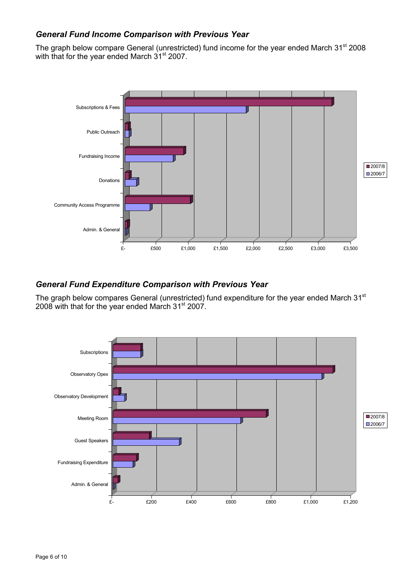#### *General Fund Income Comparison with Previous Year*

The graph below compare General (unrestricted) fund income for the year ended March 31<sup>st</sup> 2008 with that for the year ended March 31<sup>st</sup> 2007.



#### *General Fund Expenditure Comparison with Previous Year*

The graph below compares General (unrestricted) fund expenditure for the year ended March 31<sup>st</sup>  $2008$  with that for the year ended March  $31<sup>st</sup>$  2007.

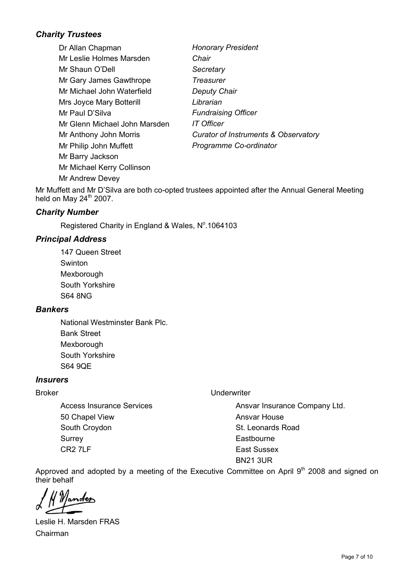### *Charity Trustees*

Dr Allan Chapman *Honorary President* Mr Leslie Holmes Marsden *Chair* Mr Shaun O'Dell *Secretary* Mr Gary James Gawthrope *Treasurer* Mr Michael John Waterfield *Deputy Chair* Mrs Joyce Mary Botterill *Librarian* Mr Paul D'Silva *Fundraising Officer* Mr Glenn Michael John Marsden *IT Officer* Mr Anthony John Morris *Curator of Instruments & Observatory* Mr Philip John Muffett *Programme Co-ordinator* Mr Barry Jackson Mr Michael Kerry Collinson Mr Andrew Devey

Mr Muffett and Mr D'Silva are both co-opted trustees appointed after the Annual General Meeting held on May  $24<sup>th</sup>$  2007.

#### *Charity Number*

Registered Charity in England & Wales, Nº.1064103

#### *Principal Address*

147 Queen Street Swinton Mexborough South Yorkshire S64 8NG

#### *Bankers*

National Westminster Bank Plc. Bank Street Mexborough South Yorkshire S64 9QE

#### *Insurers*

Access Insurance Services 50 Chapel View South Croydon **Surrey** CR2 7LF

#### Broker Underwriter

Ansvar Insurance Company Ltd. Ansvar House St. Leonards Road **Eastbourne** East Sussex BN21 3UR

Approved and adopted by a meeting of the Executive Committee on April  $9<sup>th</sup>$  2008 and signed on their behalf

Leslie H. Marsden FRAS Chairman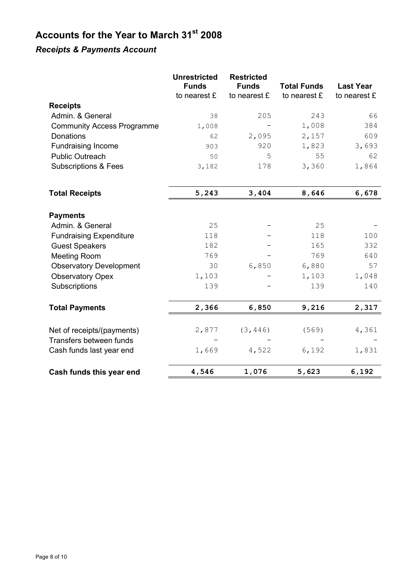# **Accounts for the Year to March 31st 2008**

## *Receipts & Payments Account*

|                                                       | <b>Unrestricted</b><br><b>Funds</b><br>to nearest £ | <b>Restricted</b><br><b>Funds</b><br>to nearest £ | <b>Total Funds</b><br>to nearest £ | <b>Last Year</b><br>to nearest £ |
|-------------------------------------------------------|-----------------------------------------------------|---------------------------------------------------|------------------------------------|----------------------------------|
| <b>Receipts</b>                                       |                                                     |                                                   |                                    |                                  |
| Admin. & General                                      | 38                                                  | 205                                               | 243                                | 66                               |
| <b>Community Access Programme</b>                     | 1,008                                               |                                                   | 1,008                              | 384                              |
| Donations                                             | 62                                                  | 2,095                                             | 2,157                              | 609                              |
| <b>Fundraising Income</b>                             | 903                                                 | 920                                               | 1,823                              | 3,693                            |
| <b>Public Outreach</b>                                | 50                                                  | 5                                                 | 55                                 | 62                               |
| <b>Subscriptions &amp; Fees</b>                       | 3,182                                               | 178                                               | 3,360                              | 1,864                            |
| <b>Total Receipts</b>                                 | 5,243                                               | 3,404                                             | 8,646                              | 6,678                            |
| <b>Payments</b>                                       |                                                     |                                                   |                                    |                                  |
| Admin. & General                                      | 25                                                  |                                                   | 25                                 |                                  |
| <b>Fundraising Expenditure</b>                        | 118                                                 |                                                   | 118                                | 100                              |
| <b>Guest Speakers</b>                                 | 182                                                 |                                                   | 165                                | 332                              |
| <b>Meeting Room</b>                                   | 769                                                 |                                                   | 769                                | 640                              |
| <b>Observatory Development</b>                        | 30                                                  | 6,850                                             | 6,880                              | 57                               |
| <b>Observatory Opex</b><br>Subscriptions              | 1,103<br>139                                        |                                                   | 1,103<br>139                       | 1,048<br>140                     |
| <b>Total Payments</b>                                 | 2,366                                               | 6,850                                             | 9,216                              | 2,317                            |
| Net of receipts/(payments)<br>Transfers between funds | 2,877                                               | (3, 446)                                          | (569)                              | 4,361                            |
| Cash funds last year end                              | 1,669                                               | 4,522                                             | 6,192                              | 1,831                            |
| Cash funds this year end                              | 4,546                                               | 1,076                                             | 5,623                              | 6,192                            |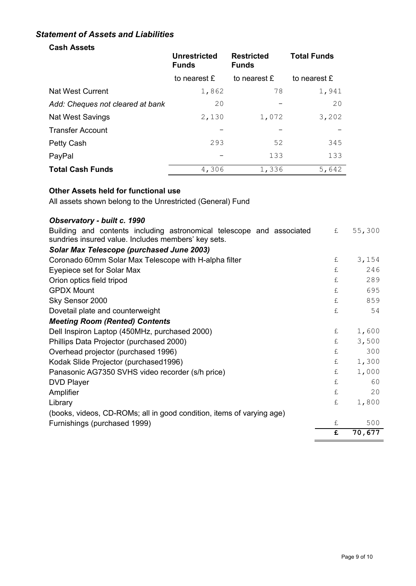#### *Statement of Assets and Liabilities*

### **Cash Assets**

|                                  | <b>Unrestricted</b><br><b>Funds</b> | <b>Restricted</b><br><b>Funds</b> | <b>Total Funds</b> |  |
|----------------------------------|-------------------------------------|-----------------------------------|--------------------|--|
|                                  | to nearest £                        | to nearest £                      | to nearest £       |  |
| Nat West Current                 | 1,862                               | 78                                | 1,941              |  |
| Add: Cheques not cleared at bank | 20                                  |                                   | 20                 |  |
| <b>Nat West Savings</b>          | 2,130                               | 1,072                             | 3,202              |  |
| <b>Transfer Account</b>          |                                     |                                   |                    |  |
| Petty Cash                       | 293                                 | 52                                | 345                |  |
| PayPal                           |                                     | 133                               | 133                |  |
| <b>Total Cash Funds</b>          | 4,306                               | 1,336                             | 5,642              |  |

#### **Other Assets held for functional use**

All assets shown belong to the Unrestricted (General) Fund

### *Observatory - built c. 1990*

| Building and contents including astronomical telescope and associated<br>sundries insured value. Includes members' key sets. | £ | 55,300 |
|------------------------------------------------------------------------------------------------------------------------------|---|--------|
| Solar Max Telescope (purchased June 2003)                                                                                    |   |        |
| Coronado 60mm Solar Max Telescope with H-alpha filter                                                                        | £ | 3,154  |
| Eyepiece set for Solar Max                                                                                                   | £ | 246    |
| Orion optics field tripod                                                                                                    | £ | 289    |
| <b>GPDX Mount</b>                                                                                                            | £ | 695    |
| Sky Sensor 2000                                                                                                              | £ | 859    |
| Dovetail plate and counterweight                                                                                             | £ | 54     |
| <b>Meeting Room (Rented) Contents</b>                                                                                        |   |        |
| Dell Inspiron Laptop (450MHz, purchased 2000)                                                                                | £ | 1,600  |
| Phillips Data Projector (purchased 2000)                                                                                     | £ | 3,500  |
| Overhead projector (purchased 1996)                                                                                          | £ | 300    |
| Kodak Slide Projector (purchased 1996)                                                                                       | £ | 1,300  |
| Panasonic AG7350 SVHS video recorder (s/h price)                                                                             | £ | 1,000  |
| <b>DVD Player</b>                                                                                                            | £ | 60     |
| Amplifier                                                                                                                    | £ | 20     |
| Library                                                                                                                      | £ | 1,800  |
| (books, videos, CD-ROMs; all in good condition, items of varying age)                                                        |   |        |
| Furnishings (purchased 1999)                                                                                                 | £ | 500    |
|                                                                                                                              | £ | 70,677 |